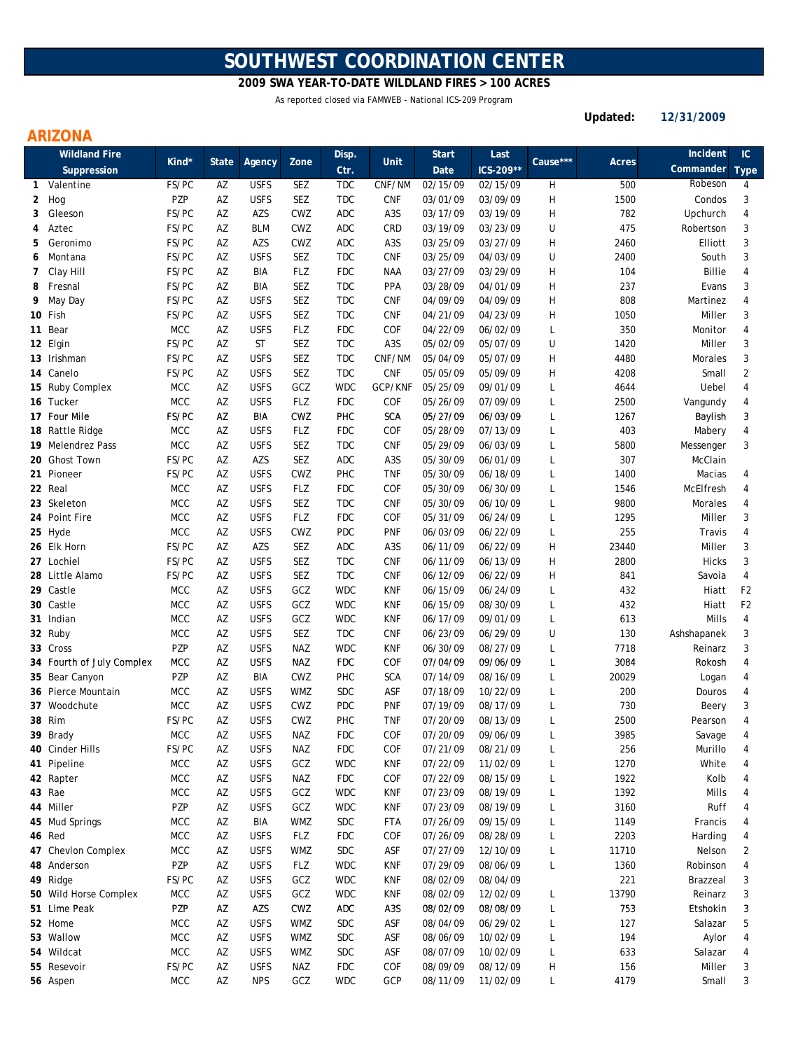# **SOUTHWEST COORDINATION CENTER**

**2009 SWA YEAR-TO-DATE WILDLAND FIRES > 100 ACRES**

As reported closed via FAMWEB - National ICS-209 Program

**Updated: 12/31/2009**

### **ARIZONA**

|              | <b>Wildland Fire</b>      |            |       |             |            | Disp.      |                  | <b>Start</b> | Last                 |              |       | Incident      | IC             |
|--------------|---------------------------|------------|-------|-------------|------------|------------|------------------|--------------|----------------------|--------------|-------|---------------|----------------|
|              | Suppression               | Kind*      | State | Agency      | Zone       | Ctr.       | <b>Unit</b>      | Date         | ICS-209**            | Cause***     | Acres | Commander     | <b>Type</b>    |
| $\mathbf{1}$ | Valentine                 | FS/PC      | AZ    | <b>USFS</b> | SEZ        | <b>TDC</b> | CNF/NM           | 02/15/09     | 02/15/09             | Н            | 500   | Robeson       | 4              |
| 2            | Hog                       | PZP        | AZ    | <b>USFS</b> | SEZ        | <b>TDC</b> | <b>CNF</b>       | 03/01/09     | 03/09/09             | H            | 1500  | Condos        | 3              |
| 3            | Gleeson                   | FS/PC      | AZ    | AZS         | CWZ        | ADC        | A <sub>3</sub> S | 03/17/09     | 03/19/09             | H            | 782   | Upchurch      | 4              |
| 4            | Aztec                     | FS/PC      | AZ    | <b>BLM</b>  | CWZ        | <b>ADC</b> | CRD              | 03/19/09     | 03/23/09             | U            | 475   | Robertson     | 3              |
| 5            | Geronimo                  | FS/PC      | AZ    | AZS         | CWZ        | ADC        | A3S              | 03/25/09     | 03/27/09             | H            | 2460  | Elliott       | 3              |
| 6            | Montana                   | FS/PC      | AZ    | <b>USFS</b> | SEZ        | <b>TDC</b> | <b>CNF</b>       | 03/25/09     | 04/03/09             | U            | 2400  | South         | 3              |
| 7            | Clay Hill                 | FS/PC      | AZ    | BIA         | <b>FLZ</b> | <b>FDC</b> | <b>NAA</b>       | 03/27/09     | 03/29/09             | H            | 104   | <b>Billie</b> | 4              |
| 8            | Fresnal                   | FS/PC      | AZ    | BIA         | SEZ        | <b>TDC</b> | <b>PPA</b>       | 03/28/09     | 04/01/09             | H            | 237   | Evans         | 3              |
| 9            | May Day                   | FS/PC      | AZ    | <b>USFS</b> | <b>SEZ</b> | <b>TDC</b> | <b>CNF</b>       | 04/09/09     | 04/09/09             | н            | 808   | Martinez      | 4              |
|              | 10 Fish                   | FS/PC      | AZ    | <b>USFS</b> | SEZ        | <b>TDC</b> | <b>CNF</b>       | 04/21/09     | 04/23/09             | H            | 1050  | Miller        | 3              |
|              | 11 Bear                   | <b>MCC</b> | AZ    | <b>USFS</b> | <b>FLZ</b> | <b>FDC</b> | COF              | 04/22/09     | 06/02/09             | L            | 350   | Monitor       | 4              |
|              | 12 Elgin                  | FS/PC      | AZ    | <b>ST</b>   | SEZ        | <b>TDC</b> | A <sub>3</sub> S | 05/02/09     | 05/07/09             | U            | 1420  | Miller        | 3              |
|              | 13 Irishman               | FS/PC      | AZ    | <b>USFS</b> | SEZ        | <b>TDC</b> | CNF/NM           | 05/04/09     | 05/07/09             | H            | 4480  | Morales       | 3              |
|              | 14 Canelo                 | FS/PC      | AZ    | <b>USFS</b> | SEZ        | <b>TDC</b> | <b>CNF</b>       | 05/05/09     | 05/09/09             | H            | 4208  | Small         | $\overline{2}$ |
|              | 15 Ruby Complex           | <b>MCC</b> | AZ    | <b>USFS</b> | GCZ        | <b>WDC</b> | GCP/KNF          | 05/25/09     | 09/01/09             | L            | 4644  | Uebel         | 4              |
|              | 16 Tucker                 | <b>MCC</b> | ΑZ    | <b>USFS</b> | <b>FLZ</b> | <b>FDC</b> | COF              | 05/26/09     | 07/09/09             | L            | 2500  | Vangundy      | 4              |
|              | 17 Four Mile              | FS/PC      | AZ    | BIA         | CWZ        | PHC        | <b>SCA</b>       | 05/27/09     | 06/03/09             | L            | 1267  |               | 3              |
|              | 18 Rattle Ridge           | <b>MCC</b> | AZ    | <b>USFS</b> | <b>FLZ</b> | <b>FDC</b> | COF              | 05/28/09     | 07/13/09             |              | 403   | Baylish       | 4              |
|              |                           |            |       |             |            |            |                  |              |                      | L            |       | Mabery        |                |
|              | 19 Melendrez Pass         | <b>MCC</b> | AZ    | <b>USFS</b> | SEZ        | <b>TDC</b> | <b>CNF</b>       | 05/29/09     | 06/03/09<br>06/01/09 | L            | 5800  | Messenger     | 3              |
|              | 20 Ghost Town             | FS/PC      | AZ    | AZS         | SEZ        | ADC        | A3S              | 05/30/09     |                      | $\mathsf{L}$ | 307   | McClain       |                |
|              | 21 Pioneer                | FS/PC      | AZ    | <b>USFS</b> | CWZ        | PHC        | <b>TNF</b>       | 05/30/09     | 06/18/09             | L            | 1400  | Macias        | 4              |
|              | 22 Real                   | <b>MCC</b> | AZ    | <b>USFS</b> | FLZ        | <b>FDC</b> | COF              | 05/30/09     | 06/30/09             | L            | 1546  | McElfresh     | 4              |
|              | 23 Skeleton               | <b>MCC</b> | AZ    | <b>USFS</b> | SEZ        | <b>TDC</b> | <b>CNF</b>       | 05/30/09     | 06/10/09             | L            | 9800  | Morales       | 4              |
|              | 24 Point Fire             | MCC        | AZ    | <b>USFS</b> | <b>FLZ</b> | <b>FDC</b> | COF              | 05/31/09     | 06/24/09             | L            | 1295  | Miller        | 3              |
|              | 25 Hyde                   | <b>MCC</b> | AZ    | <b>USFS</b> | CWZ        | <b>PDC</b> | <b>PNF</b>       | 06/03/09     | 06/22/09             | L            | 255   | Travis        | 4              |
|              | 26 Elk Horn               | FS/PC      | AZ    | AZS         | SEZ        | ADC        | A <sub>3</sub> S | 06/11/09     | 06/22/09             | H            | 23440 | Miller        | 3              |
|              | 27 Lochiel                | FS/PC      | AZ    | <b>USFS</b> | SEZ        | <b>TDC</b> | <b>CNF</b>       | 06/11/09     | 06/13/09             | H            | 2800  | <b>Hicks</b>  | 3              |
|              | 28 Little Alamo           | FS/PC      | AZ    | <b>USFS</b> | SEZ        | <b>TDC</b> | <b>CNF</b>       | 06/12/09     | 06/22/09             | H            | 841   | Savoia        | 4              |
|              | 29 Castle                 | <b>MCC</b> | AZ    | <b>USFS</b> | GCZ        | <b>WDC</b> | <b>KNF</b>       | 06/15/09     | 06/24/09             | L            | 432   | Hiatt         | F <sub>2</sub> |
|              | 30 Castle                 | <b>MCC</b> | AZ    | <b>USFS</b> | GCZ        | <b>WDC</b> | <b>KNF</b>       | 06/15/09     | 08/30/09             | L            | 432   | Hiatt         | F <sub>2</sub> |
|              | 31 Indian                 | <b>MCC</b> | AZ    | <b>USFS</b> | GCZ        | <b>WDC</b> | <b>KNF</b>       | 06/17/09     | 09/01/09             | $\mathsf{L}$ | 613   | Mills         | 4              |
|              | 32 Ruby                   | <b>MCC</b> | AZ    | <b>USFS</b> | SEZ        | <b>TDC</b> | <b>CNF</b>       | 06/23/09     | 06/29/09             | U            | 130   | Ashshapanek   | 3              |
|              | 33 Cross                  | PZP        | ΑZ    | <b>USFS</b> | NAZ        | <b>WDC</b> | <b>KNF</b>       | 06/30/09     | 08/27/09             | L            | 7718  | Reinarz       | 3              |
|              | 34 Fourth of July Complex | MCC        | AZ    | <b>USFS</b> | <b>NAZ</b> | <b>FDC</b> | COF              | 07/04/09     | 09/06/09             | L            | 3084  | Rokosh        | 4              |
|              | 35 Bear Canyon            | PZP        | AZ    | BIA         | CWZ        | PHC        | <b>SCA</b>       | 07/14/09     | 08/16/09             | L            | 20029 | Logan         | 4              |
|              | 36 Pierce Mountain        | <b>MCC</b> | AZ    | <b>USFS</b> | <b>WMZ</b> | <b>SDC</b> | ASF              | 07/18/09     | 10/22/09             | L            | 200   | Douros        | 4              |
|              | 37 Woodchute              | <b>MCC</b> | AZ    | <b>USFS</b> | CWZ        | PDC        | <b>PNF</b>       | 07/19/09     | 08/17/09             | $\mathsf{L}$ | 730   | Beery         | 3              |
|              | 38 Rim                    | FS/PC      | ΑZ    | <b>USFS</b> | CWZ        | PHC        | <b>TNF</b>       | 07/20/09     | 08/13/09             | L            | 2500  | Pearson       | 4              |
|              | 39 Brady                  | <b>MCC</b> | ΑZ    | <b>USFS</b> | NAZ        | <b>FDC</b> | COF              | 07/20/09     | 09/06/09             |              | 3985  | Savage        | 4              |
|              | 40 Cinder Hills           | FS/PC      | AZ    | <b>USFS</b> | <b>NAZ</b> | <b>FDC</b> | COF              | 07/21/09     | 08/21/09             | L            | 256   | Murillo       | 4              |
|              | 41 Pipeline               | <b>MCC</b> | AZ    | <b>USFS</b> | GCZ        | <b>WDC</b> | KNF              | 07/22/09     | 11/02/09             | L            | 1270  | White         | 4              |
|              | 42 Rapter                 | MCC        | AZ    | <b>USFS</b> | NAZ        | <b>FDC</b> | COF              | 07/22/09     | 08/15/09             | L            | 1922  | Kolb          | 4              |
|              | 43 Rae                    | <b>MCC</b> | AZ    | <b>USFS</b> | GCZ        | <b>WDC</b> | KNF              | 07/23/09     | 08/19/09             | L            | 1392  | Mills         | 4              |
|              | 44 Miller                 | PZP        | AZ    | <b>USFS</b> | GCZ        | <b>WDC</b> | KNF              | 07/23/09     | 08/19/09             | L            | 3160  | Ruff          | 4              |
|              | 45 Mud Springs            | <b>MCC</b> | AZ    | BIA         | WMZ        | <b>SDC</b> | <b>FTA</b>       | 07/26/09     | 09/15/09             | L            | 1149  | Francis       | 4              |
|              | 46 Red                    | <b>MCC</b> | AZ    | <b>USFS</b> | <b>FLZ</b> | <b>FDC</b> | COF              | 07/26/09     | 08/28/09             | L            | 2203  | Harding       | 4              |
|              | 47 Chevlon Complex        | <b>MCC</b> | AZ    | <b>USFS</b> | <b>WMZ</b> | <b>SDC</b> | ASF              | 07/27/09     | 12/10/09             | L            | 11710 | Nelson        | 2              |
|              | 48 Anderson               | PZP        | AZ    | <b>USFS</b> | FLZ        | <b>WDC</b> | KNF              | 07/29/09     | 08/06/09             | L            | 1360  | Robinson      | 4              |
|              | 49 Ridge                  | FS/PC      | AZ    | <b>USFS</b> | GCZ        | <b>WDC</b> | KNF              | 08/02/09     | 08/04/09             |              | 221   | Brazzeal      | 3              |
|              | 50 Wild Horse Complex     | <b>MCC</b> | AZ    | <b>USFS</b> | GCZ        | <b>WDC</b> | KNF              | 08/02/09     | 12/02/09             | L            | 13790 | Reinarz       | 3              |
|              | 51 Lime Peak              | PZP        | AZ    | AZS         | CWZ        | ADC        | A3S              | 08/02/09     | 08/08/09             | L            | 753   | Etshokin      | 3              |
|              | 52 Home                   | <b>MCC</b> | AZ    | <b>USFS</b> | <b>WMZ</b> | <b>SDC</b> | ASF              | 08/04/09     | 06/29/02             | L            | 127   | Salazar       | 5              |
|              | 53 Wallow                 | <b>MCC</b> | AZ    | <b>USFS</b> | <b>WMZ</b> | <b>SDC</b> | ASF              | 08/06/09     | 10/02/09             | L            | 194   | Aylor         | 4              |
|              | 54 Wildcat                | <b>MCC</b> | AZ    | <b>USFS</b> | <b>WMZ</b> | <b>SDC</b> | ASF              | 08/07/09     | 10/02/09             | L            | 633   | Salazar       | 4              |
|              | 55 Resevoir               | FS/PC      | AZ    | <b>USFS</b> | NAZ        | <b>FDC</b> | COF              | 08/09/09     | 08/12/09             | Н            | 156   | Miller        | 3              |
|              | 56 Aspen                  | MCC        | AZ    | <b>NPS</b>  | GCZ        | <b>WDC</b> | GCP              | 08/11/09     | 11/02/09             | L            | 4179  | Small         | 3              |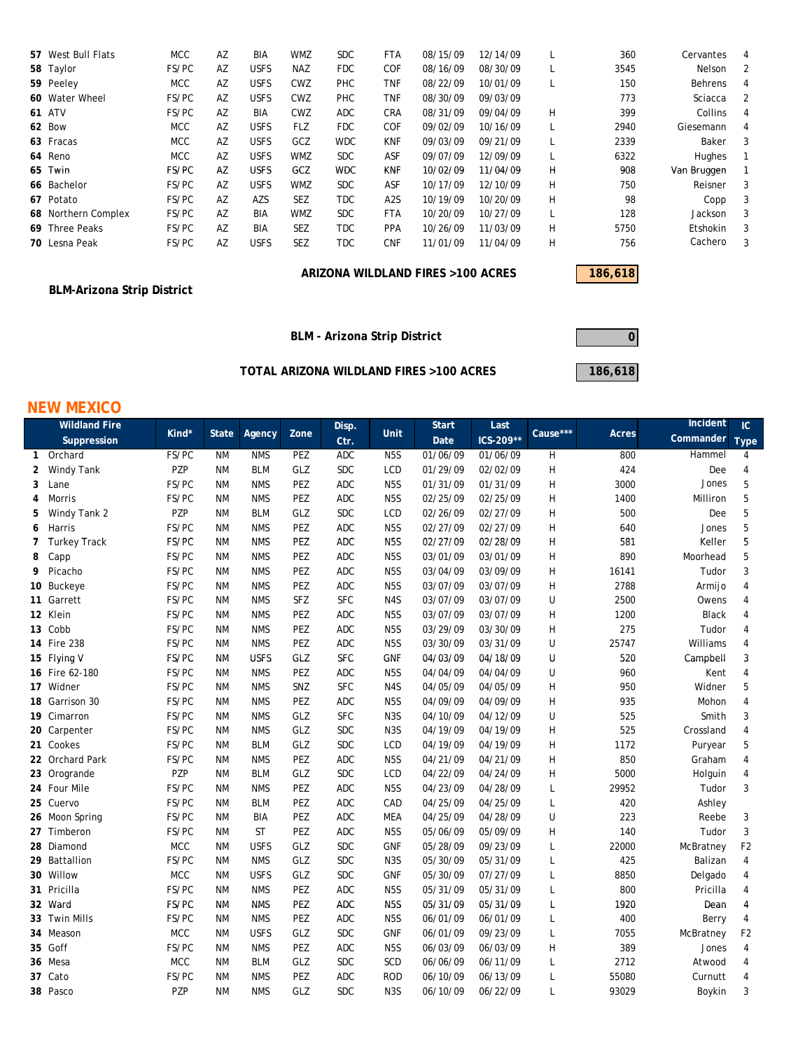| 57 West Bull Flats  | <b>MCC</b> | AZ | BIA         | WMZ        | <b>SDC</b> | <b>FTA</b> | 08/15/09 | 12/14/09 |   | 360  | Cervantes       | 4 |
|---------------------|------------|----|-------------|------------|------------|------------|----------|----------|---|------|-----------------|---|
| 58 Taylor           | FS/PC      | AZ | <b>USFS</b> | <b>NAZ</b> | <b>FDC</b> | <b>COF</b> | 08/16/09 | 08/30/09 | ┖ | 3545 | Nelson          | 2 |
| 59 Peeley           | <b>MCC</b> | AZ | <b>USFS</b> | CWZ        | <b>PHC</b> | <b>TNF</b> | 08/22/09 | 10/01/09 | ┖ | 150  | Behrens         | 4 |
| 60 Water Wheel      | FS/PC      | AZ | <b>USFS</b> | <b>CWZ</b> | <b>PHC</b> | <b>TNF</b> | 08/30/09 | 09/03/09 |   | 773  | Sciacca         |   |
| <b>61 ATV</b>       | FS/PC      | AZ | BIA         | CWZ        | <b>ADC</b> | <b>CRA</b> | 08/31/09 | 09/04/09 | н | 399  | Collins         | 4 |
| 62 Bow              | <b>MCC</b> | AZ | <b>USFS</b> | FLZ        | <b>FDC</b> | <b>COF</b> | 09/02/09 | 10/16/09 |   | 2940 | Giesemann       | 4 |
| 63 Fracas           | <b>MCC</b> | AZ | <b>USFS</b> | GCZ        | <b>WDC</b> | <b>KNF</b> | 09/03/09 | 09/21/09 |   | 2339 | Baker           | 3 |
| 64 Reno             | <b>MCC</b> | AZ | <b>USFS</b> | <b>WMZ</b> | <b>SDC</b> | ASF        | 09/07/09 | 12/09/09 |   | 6322 | Hughes          |   |
| 65 Twin             | FS/PC      | AZ | <b>USFS</b> | GCZ        | <b>WDC</b> | <b>KNF</b> | 10/02/09 | 11/04/09 | н | 908  | Van Bruggen     |   |
| 66 Bachelor         | FS/PC      | AZ | <b>USFS</b> | <b>WMZ</b> | <b>SDC</b> | <b>ASF</b> | 10/17/09 | 12/10/09 | н | 750  | Reisner         | 3 |
| 67 Potato           | FS/PC      | AZ | AZS         | <b>SEZ</b> | <b>TDC</b> | A2S        | 10/19/09 | 10/20/09 | н | 98   | Copp            | 3 |
| 68 Northern Complex | FS/PC      | AZ | BIA         | WMZ        | <b>SDC</b> | <b>FTA</b> | 10/20/09 | 10/27/09 |   | 128  | Jackson         | 3 |
| 69 Three Peaks      | FS/PC      | AZ | <b>BIA</b>  | <b>SEZ</b> | <b>TDC</b> | <b>PPA</b> | 10/26/09 | 11/03/09 | н | 5750 | <b>Etshokin</b> | 3 |
| 70 Lesna Peak       | FS/PC      | AZ | <b>USFS</b> | <b>SEZ</b> | <b>TDC</b> | <b>CNF</b> | 11/01/09 | 11/04/09 | н | 756  | Cachero         | 3 |
|                     |            |    |             |            |            |            |          |          |   |      |                 |   |

### ARIZONA WILDLAND FIRES >100 ACRES **186,618**

### **BLM-Arizona Strip District**

### **NEW MEXICO**

|   | <b>BLM-Arizona Strip District</b> |            |              |             |      |                              |                  |                                         |           |          |         |              |                |
|---|-----------------------------------|------------|--------------|-------------|------|------------------------------|------------------|-----------------------------------------|-----------|----------|---------|--------------|----------------|
|   |                                   |            |              |             |      | BLM - Arizona Strip District |                  |                                         |           |          | 0       |              |                |
|   |                                   |            |              |             |      |                              |                  |                                         |           |          |         |              |                |
|   |                                   |            |              |             |      |                              |                  | TOTAL ARIZONA WILDLAND FIRES >100 ACRES |           |          | 186,618 |              |                |
|   | <b>NEW MEXICO</b>                 |            |              |             |      |                              |                  |                                         |           |          |         |              |                |
|   | <b>Wildland Fire</b>              | Kind*      | <b>State</b> | Agency      | Zone | Disp.                        | Unit             | <b>Start</b>                            | Last      | Cause*** | Acres   | Incident     | IC.            |
|   | Suppression                       |            |              |             |      | Ctr.                         |                  | Date                                    | ICS-209** |          |         | Commander    | <b>Type</b>    |
|   | 1 Orchard                         | FS/PC      | <b>NM</b>    | <b>NMS</b>  | PEZ  | <b>ADC</b>                   | N <sub>5</sub> S | 01/06/09                                | 01/06/09  | Н        | 800     | Hammel       | 4              |
| 2 | Windy Tank                        | PZP        | <b>NM</b>    | <b>BLM</b>  | GLZ  | <b>SDC</b>                   | LCD              | 01/29/09                                | 02/02/09  | Η        | 424     | Dee          | 4              |
| 3 | Lane                              | FS/PC      | ΝM           | <b>NMS</b>  | PEZ  | ADC                          | N5S              | 01/31/09                                | 01/31/09  | Η        | 3000    | Jones        | 5              |
| 4 | Morris                            | FS/PC      | <b>NM</b>    | <b>NMS</b>  | PEZ  | ADC                          | N5S              | 02/25/09                                | 02/25/09  | Η        | 1400    | Milliron     | 5              |
| 5 | Windy Tank 2                      | PZP        | <b>NM</b>    | <b>BLM</b>  | GLZ  | <b>SDC</b>                   | LCD              | 02/26/09                                | 02/27/09  | Η        | 500     | Dee          | 5              |
| 6 | Harris                            | FS/PC      | <b>NM</b>    | <b>NMS</b>  | PEZ  | ADC                          | N5S              | 02/27/09                                | 02/27/09  | Η        | 640     | Jones        | 5              |
| 7 | Turkey Track                      | FS/PC      | ΝM           | <b>NMS</b>  | PEZ  | ADC                          | N5S              | 02/27/09                                | 02/28/09  | Η        | 581     | Keller       | 5              |
| 8 | Capp                              | FS/PC      | ΝM           | <b>NMS</b>  | PEZ  | <b>ADC</b>                   | N5S              | 03/01/09                                | 03/01/09  | Η        | 890     | Moorhead     | 5              |
| 9 | Picacho                           | FS/PC      | ΝM           | <b>NMS</b>  | PEZ  | ADC                          | N <sub>5</sub> S | 03/04/09                                | 03/09/09  | Η        | 16141   | Tudor        | 3              |
|   | 10 Buckeye                        | FS/PC      | ΝM           | <b>NMS</b>  | PEZ  | ADC                          | N5S              | 03/07/09                                | 03/07/09  | Η        | 2788    | Armijo       | 4              |
|   | 11 Garrett                        | FS/PC      | <b>NM</b>    | <b>NMS</b>  | SFZ  | SFC                          | N4S              | 03/07/09                                | 03/07/09  | U        | 2500    | Owens        | 4              |
|   | 12 Klein                          | FS/PC      | <b>NM</b>    | <b>NMS</b>  | PEZ  | ADC                          | N5S              | 03/07/09                                | 03/07/09  | Η        | 1200    | <b>Black</b> | 4              |
|   | 13 Cobb                           | FS/PC      | <b>NM</b>    | <b>NMS</b>  | PEZ  | ADC                          | N5S              | 03/29/09                                | 03/30/09  | Η        | 275     | Tudor        | 4              |
|   | 14 Fire 238                       | FS/PC      | ΝM           | <b>NMS</b>  | PEZ  | ADC                          | N5S              | 03/30/09                                | 03/31/09  | U        | 25747   | Williams     | 4              |
|   | 15 Flying V                       | FS/PC      | <b>NM</b>    | <b>USFS</b> | GLZ  | <b>SFC</b>                   | <b>GNF</b>       | 04/03/09                                | 04/18/09  | U        | 520     | Campbell     | 3              |
|   | 16 Fire 62-180                    | FS/PC      | <b>NM</b>    | <b>NMS</b>  | PEZ  | ADC                          | N <sub>5</sub> S | 04/04/09                                | 04/04/09  | U        | 960     | Kent         | 4              |
|   | 17 Widner                         | FS/PC      | ΝM           | <b>NMS</b>  | SNZ  | <b>SFC</b>                   | N4S              | 04/05/09                                | 04/05/09  | H        | 950     | Widner       | 5              |
|   | 18 Garrison 30                    | FS/PC      | ΝM           | <b>NMS</b>  | PEZ  | ADC                          | N5S              | 04/09/09                                | 04/09/09  | H        | 935     | Mohon        | 4              |
|   | 19 Cimarron                       | FS/PC      | <b>NM</b>    | <b>NMS</b>  | GLZ  | <b>SFC</b>                   | N <sub>3</sub> S | 04/10/09                                | 04/12/09  | U        | 525     | Smith        | 3              |
|   | 20 Carpenter                      | FS/PC      | <b>NM</b>    | <b>NMS</b>  | GLZ  | <b>SDC</b>                   | N3S              | 04/19/09                                | 04/19/09  | Η        | 525     | Crossland    | 4              |
|   | 21 Cookes                         | FS/PC      | <b>NM</b>    | <b>BLM</b>  | GLZ  | <b>SDC</b>                   | LCD              | 04/19/09                                | 04/19/09  | Η        | 1172    | Puryear      | 5              |
|   | 22 Orchard Park                   | FS/PC      | <b>NM</b>    | <b>NMS</b>  | PEZ  | ADC                          | N <sub>5</sub> S | 04/21/09                                | 04/21/09  | Η        | 850     | Graham       | 4              |
|   | 23 Orogrande                      | PZP        | <b>NM</b>    | <b>BLM</b>  | GLZ  | <b>SDC</b>                   | LCD              | 04/22/09                                | 04/24/09  | H        | 5000    | Holguin      | 4              |
|   | 24 Four Mile                      | FS/PC      | ΝM           | <b>NMS</b>  | PEZ  | ADC                          | N5S              | 04/23/09                                | 04/28/09  | L        | 29952   | Tudor        | 3              |
|   | 25 Cuervo                         | FS/PC      | <b>NM</b>    | <b>BLM</b>  | PEZ  | ADC                          | CAD              | 04/25/09                                | 04/25/09  | L        | 420     | Ashley       |                |
|   | 26 Moon Spring                    | FS/PC      | ΝM           | BIA         | PEZ  | ADC                          | MEA              | 04/25/09                                | 04/28/09  | U        | 223     | Reebe        | 3              |
|   | 27 Timberon                       | FS/PC      | <b>NM</b>    | <b>ST</b>   | PEZ  | ADC                          | N5S              | 05/06/09                                | 05/09/09  | Η        | 140     | Tudor        | 3              |
|   | 28 Diamond                        | <b>MCC</b> | <b>NM</b>    | <b>USFS</b> | GLZ  | <b>SDC</b>                   | <b>GNF</b>       | 05/28/09                                | 09/23/09  | L        | 22000   | McBratney    | F <sub>2</sub> |
|   | 29 Battallion                     | FS/PC      | <b>NM</b>    | <b>NMS</b>  | GLZ  | <b>SDC</b>                   | N3S              | 05/30/09                                | 05/31/09  | L        | 425     | Balizan      | 4              |
|   | 30 Willow                         | <b>MCC</b> | <b>NM</b>    | <b>USFS</b> | GLZ  | <b>SDC</b>                   | <b>GNF</b>       | 05/30/09                                | 07/27/09  | L        | 8850    | Delgado      | 4              |
|   | 31 Pricilla                       | FS/PC      | ΝM           | <b>NMS</b>  | PEZ  | ADC                          | N5S              | 05/31/09                                | 05/31/09  | L        | 800     | Pricilla     | 4              |
|   | 32 Ward                           | FS/PC      | ΝM           | <b>NMS</b>  | PEZ  | ADC                          | N5S              | 05/31/09                                | 05/31/09  | L        | 1920    | Dean         | 4              |
|   | 33 Twin Mills                     | FS/PC      | ΝM           | <b>NMS</b>  | PEZ  | ADC                          | N <sub>5</sub> S | 06/01/09                                | 06/01/09  | L        | 400     | Berry        | 4              |
|   | 34 Meason                         | MCC        | ΝM           | <b>USFS</b> | GLZ  | <b>SDC</b>                   | <b>GNF</b>       | 06/01/09                                | 09/23/09  | L        | 7055    | McBratney    | F <sub>2</sub> |
|   | 35 Goff                           | FS/PC      | ΝM           | <b>NMS</b>  | PEZ  | ADC                          | N <sub>5</sub> S | 06/03/09                                | 06/03/09  | Η        | 389     | Jones        | 4              |
|   | 36 Mesa                           | MCC        | ΝM           | <b>BLM</b>  | GLZ  | <b>SDC</b>                   | SCD              | 06/06/09                                | 06/11/09  | L        | 2712    | Atwood       | 4              |
|   | 37 Cato                           | FS/PC      | ΝM           | <b>NMS</b>  | PEZ  | ADC                          | <b>ROD</b>       | 06/10/09                                | 06/13/09  | L        | 55080   | Curnutt      | 4              |
|   | 38 Pasco                          | PZP        | ΝM           | <b>NMS</b>  | GLZ  | <b>SDC</b>                   | N <sub>3</sub> S | 06/10/09                                | 06/22/09  | L        | 93029   | Boykin       | 3              |